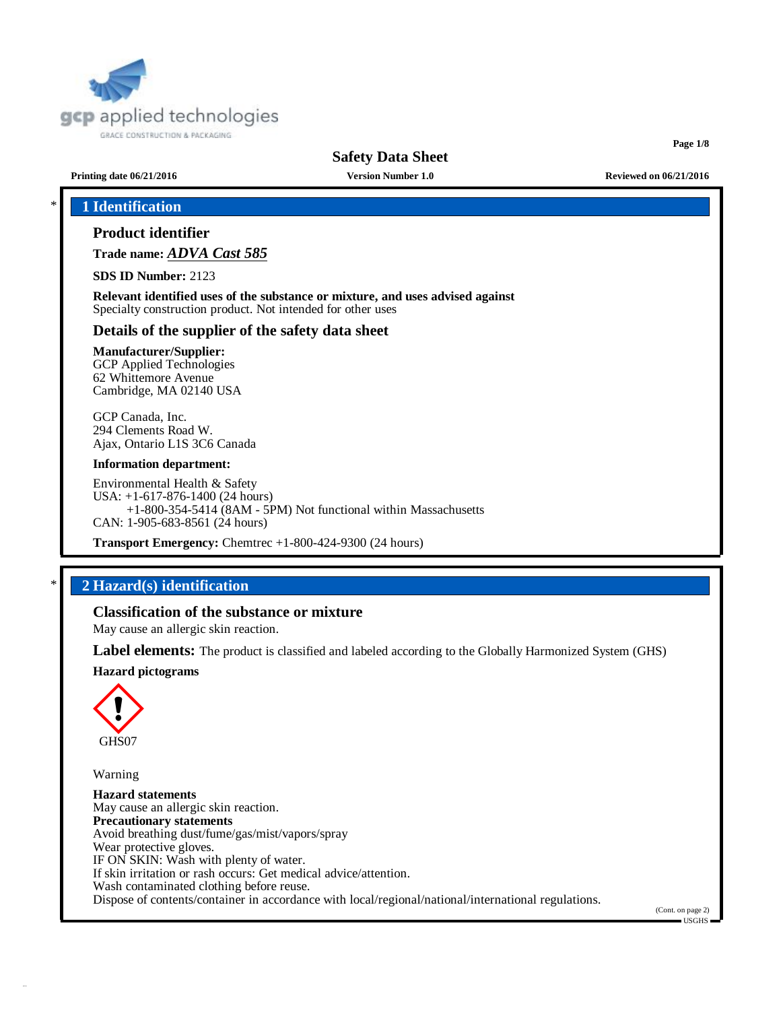

**Page 1/8**

**Printing date 06/21/2016 Version Number 1.0 Reviewed on 06/21/2016**

# \* **1 Identification**

### **Product identifier**

**Trade name:** *ADVA Cast 585*

**SDS ID Number:** 2123

**Relevant identified uses of the substance or mixture, and uses advised against** Specialty construction product. Not intended for other uses

#### **Details of the supplier of the safety data sheet**

#### **Manufacturer/Supplier:**

GCP Applied Technologies 62 Whittemore Avenue Cambridge, MA 02140 USA

GCP Canada, Inc. 294 Clements Road W. Ajax, Ontario L1S 3C6 Canada

#### **Information department:**

Environmental Health & Safety USA: +1-617-876-1400 (24 hours) +1-800-354-5414 (8AM - 5PM) Not functional within Massachusetts CAN: 1-905-683-8561 (24 hours)

**Transport Emergency:** Chemtrec +1-800-424-9300 (24 hours)

# \* **2 Hazard(s) identification**

#### **Classification of the substance or mixture**

May cause an allergic skin reaction.

**Label elements:** The product is classified and labeled according to the Globally Harmonized System (GHS)

#### **Hazard pictograms**



Warning

**Hazard statements** May cause an allergic skin reaction. **Precautionary statements** Avoid breathing dust/fume/gas/mist/vapors/spray Wear protective gloves. IF ON SKIN: Wash with plenty of water. If skin irritation or rash occurs: Get medical advice/attention. Wash contaminated clothing before reuse. Dispose of contents/container in accordance with local/regional/national/international regulations.

(Cont. on page 2)  $-1$ ISGHS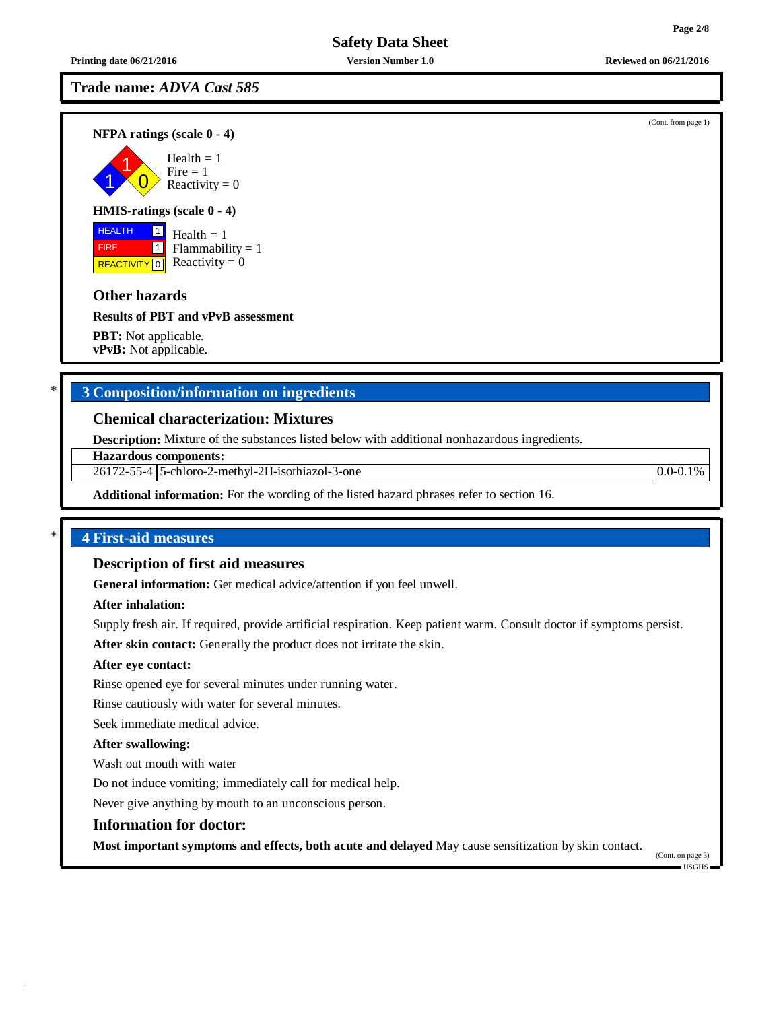### **Printing date 06/21/2016 Version Number 1.0 Reviewed on 06/21/2016**

**Trade name:** *ADVA Cast 585*

**NFPA ratings (scale 0 - 4)**

1 1  $\overline{0}$  $Health = 1$  $Fire = 1$ Reactivity  $= 0$ 

### **HMIS-ratings (scale 0 - 4)**

**HEALTH**  FIRE REACTIVITY  $\boxed{0}$  Reactivity = 0 1  $\overline{1}$ Health  $= 1$  $Flammability = 1$ 

### **Other hazards**

**Results of PBT and vPvB assessment**

**PBT:** Not applicable. **vPvB:** Not applicable.

# \* **3 Composition/information on ingredients**

#### **Chemical characterization: Mixtures**

**Description:** Mixture of the substances listed below with additional nonhazardous ingredients.

**Hazardous components:**

26172-55-4 5-chloro-2-methyl-2H-isothiazol-3-one 0.0-0.1%

**Additional information:** For the wording of the listed hazard phrases refer to section 16.

#### \* **4 First-aid measures**

#### **Description of first aid measures**

**General information:** Get medical advice/attention if you feel unwell.

#### **After inhalation:**

Supply fresh air. If required, provide artificial respiration. Keep patient warm. Consult doctor if symptoms persist.

**After skin contact:** Generally the product does not irritate the skin.

#### **After eye contact:**

Rinse opened eye for several minutes under running water.

Rinse cautiously with water for several minutes.

Seek immediate medical advice.

#### **After swallowing:**

Wash out mouth with water

Do not induce vomiting; immediately call for medical help.

Never give anything by mouth to an unconscious person.

#### **Information for doctor:**

**Most important symptoms and effects, both acute and delayed** May cause sensitization by skin contact.

(Cont. on page 3) USGHS

(Cont. from page 1)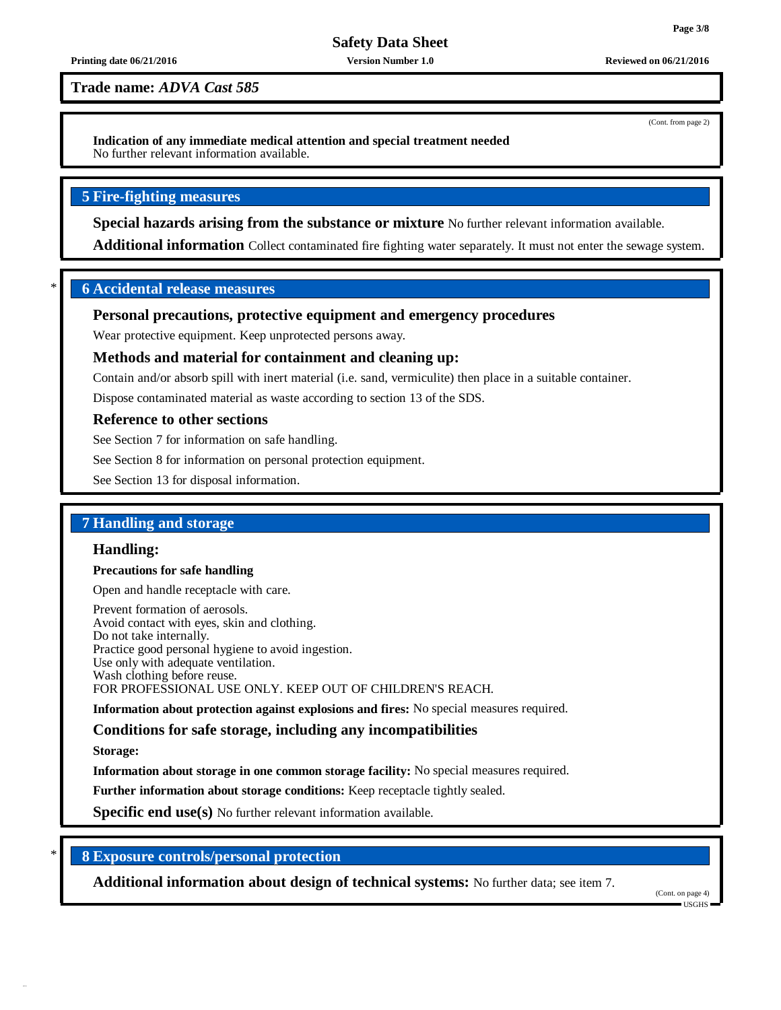#### **Printing date 06/21/2016 Version Number 1.0 Reviewed on 06/21/2016**

**Trade name:** *ADVA Cast 585*

**Indication of any immediate medical attention and special treatment needed** No further relevant information available.

#### **5 Fire-fighting measures**

**Special hazards arising from the substance or mixture** No further relevant information available.

**Additional information** Collect contaminated fire fighting water separately. It must not enter the sewage system.

#### \* **6 Accidental release measures**

#### **Personal precautions, protective equipment and emergency procedures**

Wear protective equipment. Keep unprotected persons away.

#### **Methods and material for containment and cleaning up:**

Contain and/or absorb spill with inert material (i.e. sand, vermiculite) then place in a suitable container.

Dispose contaminated material as waste according to section 13 of the SDS.

#### **Reference to other sections**

See Section 7 for information on safe handling.

See Section 8 for information on personal protection equipment.

See Section 13 for disposal information.

#### **7 Handling and storage**

#### **Handling:**

#### **Precautions for safe handling**

Open and handle receptacle with care.

Prevent formation of aerosols. Avoid contact with eyes, skin and clothing. Do not take internally. Practice good personal hygiene to avoid ingestion. Use only with adequate ventilation. Wash clothing before reuse. FOR PROFESSIONAL USE ONLY. KEEP OUT OF CHILDREN'S REACH.

**Information about protection against explosions and fires:** No special measures required.

**Conditions for safe storage, including any incompatibilities**

**Storage:**

**Information about storage in one common storage facility:** No special measures required.

**Further information about storage conditions:** Keep receptacle tightly sealed.

**Specific end use(s)** No further relevant information available.

#### \* **8 Exposure controls/personal protection**

**Additional information about design of technical systems:** No further data; see item 7.

(Cont. on page 4) USGHS

(Cont. from page 2)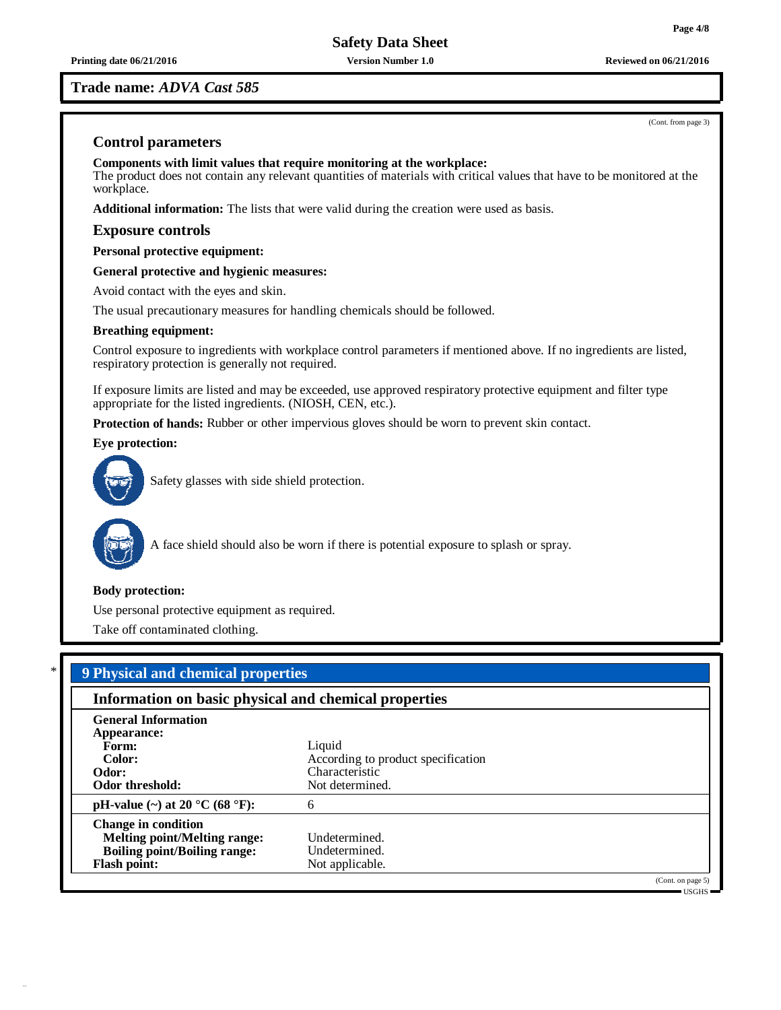**Trade name:** *ADVA Cast 585*

(Cont. from page 3)

### **Control parameters**

**Components with limit values that require monitoring at the workplace:** The product does not contain any relevant quantities of materials with critical values that have to be monitored at the workplace.

**Additional information:** The lists that were valid during the creation were used as basis.

#### **Exposure controls**

**Personal protective equipment:**

**General protective and hygienic measures:**

Avoid contact with the eyes and skin.

The usual precautionary measures for handling chemicals should be followed.

#### **Breathing equipment:**

Control exposure to ingredients with workplace control parameters if mentioned above. If no ingredients are listed, respiratory protection is generally not required.

If exposure limits are listed and may be exceeded, use approved respiratory protective equipment and filter type appropriate for the listed ingredients. (NIOSH, CEN, etc.).

**Protection of hands:** Rubber or other impervious gloves should be worn to prevent skin contact.

**Eye protection:**



Safety glasses with side shield protection.



A face shield should also be worn if there is potential exposure to splash or spray.

#### **Body protection:**

Use personal protective equipment as required.

Take off contaminated clothing.

| Information on basic physical and chemical properties |                                    |  |
|-------------------------------------------------------|------------------------------------|--|
| <b>General Information</b>                            |                                    |  |
| Appearance:                                           |                                    |  |
| Form:                                                 | Liquid                             |  |
| Color:                                                | According to product specification |  |
| Odor:                                                 | Characteristic                     |  |
| Odor threshold:                                       | Not determined.                    |  |
| pH-value (~) at 20 $^{\circ}$ C (68 $^{\circ}$ F):    | 6                                  |  |
| <b>Change in condition</b>                            |                                    |  |
| <b>Melting point/Melting range:</b>                   | Undetermined.                      |  |
| <b>Boiling point/Boiling range:</b>                   | Undetermined.                      |  |
| <b>Flash point:</b>                                   | Not applicable.                    |  |

USGHS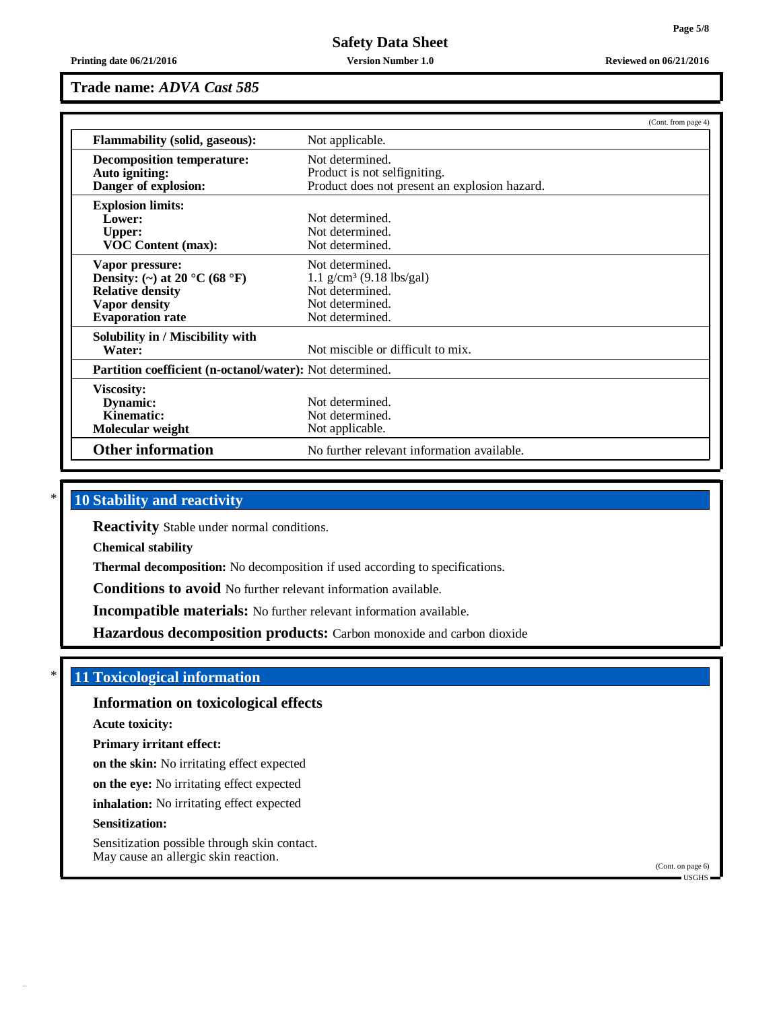**Printing date 06/21/2016 Version Number 1.0 Reviewed on 06/21/2016**

# **Trade name:** *ADVA Cast 585*

|                                                                                                                                | (Cont. from page 4)                                                                                                |  |
|--------------------------------------------------------------------------------------------------------------------------------|--------------------------------------------------------------------------------------------------------------------|--|
| <b>Flammability (solid, gaseous):</b>                                                                                          | Not applicable.                                                                                                    |  |
| <b>Decomposition temperature:</b><br>Auto igniting:<br>Danger of explosion:                                                    | Not determined.<br>Product is not selfigniting.<br>Product does not present an explosion hazard.                   |  |
| <b>Explosion limits:</b><br>Lower:<br><b>Upper:</b><br><b>VOC Content (max):</b>                                               | Not determined.<br>Not determined.<br>Not determined.                                                              |  |
| Vapor pressure:<br>Density: (~) at 20 °C (68 °F)<br><b>Relative density</b><br><b>Vapor density</b><br><b>Evaporation rate</b> | Not determined.<br>$1.1$ g/cm <sup>3</sup> (9.18 lbs/gal)<br>Not determined.<br>Not determined.<br>Not determined. |  |
| Solubility in / Miscibility with<br>Water:                                                                                     | Not miscible or difficult to mix.                                                                                  |  |
| <b>Partition coefficient (n-octanol/water):</b> Not determined.                                                                |                                                                                                                    |  |
| <b>Viscosity:</b><br>Dynamic:<br>Kinematic:<br>Molecular weight                                                                | Not determined.<br>Not determined.<br>Not applicable.                                                              |  |
| <b>Other information</b>                                                                                                       | No further relevant information available.                                                                         |  |

# \* **10 Stability and reactivity**

**Reactivity** Stable under normal conditions.

**Chemical stability**

**Thermal decomposition:** No decomposition if used according to specifications.

**Conditions to avoid** No further relevant information available.

**Incompatible materials:** No further relevant information available.

**Hazardous decomposition products:** Carbon monoxide and carbon dioxide

#### \* **11 Toxicological information**

**Information on toxicological effects**

**Acute toxicity:**

**Primary irritant effect:**

**on the skin:** No irritating effect expected

**on the eye:** No irritating effect expected

**inhalation:** No irritating effect expected

#### **Sensitization:**

Sensitization possible through skin contact. May cause an allergic skin reaction.

(Cont. on page 6) USGHS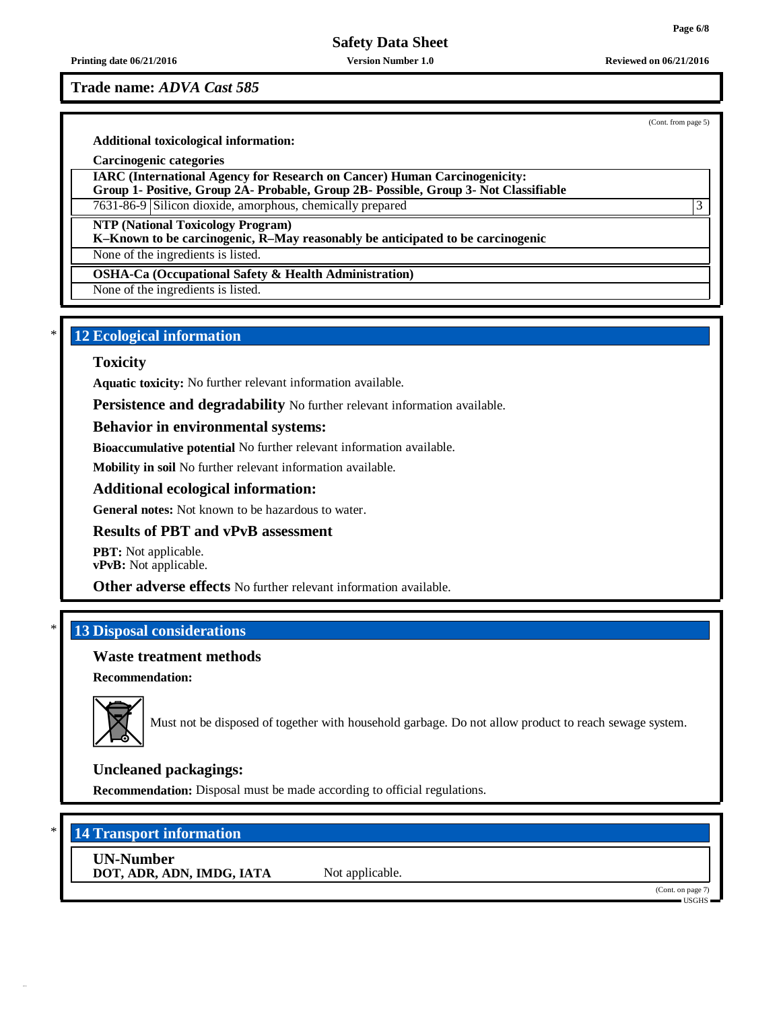**Printing date 06/21/2016 Version Number 1.0 Reviewed on 06/21/2016**

**Trade name:** *ADVA Cast 585*

(Cont. from page 5)

#### **Additional toxicological information:**

**Carcinogenic categories**

**IARC (International Agency for Research on Cancer) Human Carcinogenicity: Group 1- Positive, Group 2A- Probable, Group 2B- Possible, Group 3- Not Classifiable**

7631-86-9 Silicon dioxide, amorphous, chemically prepared 3

**NTP (National Toxicology Program)**

**K–Known to be carcinogenic, R–May reasonably be anticipated to be carcinogenic**

None of the ingredients is listed.

**OSHA-Ca (Occupational Safety & Health Administration)**

None of the ingredients is listed.

### \* **12 Ecological information**

#### **Toxicity**

**Aquatic toxicity:** No further relevant information available.

**Persistence and degradability** No further relevant information available.

#### **Behavior in environmental systems:**

**Bioaccumulative potential** No further relevant information available.

**Mobility in soil** No further relevant information available.

#### **Additional ecological information:**

**General notes:** Not known to be hazardous to water.

#### **Results of PBT and vPvB assessment**

**PBT:** Not applicable. **vPvB:** Not applicable.

**Other adverse effects** No further relevant information available.

# \* **13 Disposal considerations**

#### **Waste treatment methods**

**Recommendation:**



Must not be disposed of together with household garbage. Do not allow product to reach sewage system.

## **Uncleaned packagings:**

**Recommendation:** Disposal must be made according to official regulations.

# \* **14 Transport information**

**UN-Number DOT, ADR, ADN, IMDG, IATA** Not applicable.

(Cont. on page 7) USGHS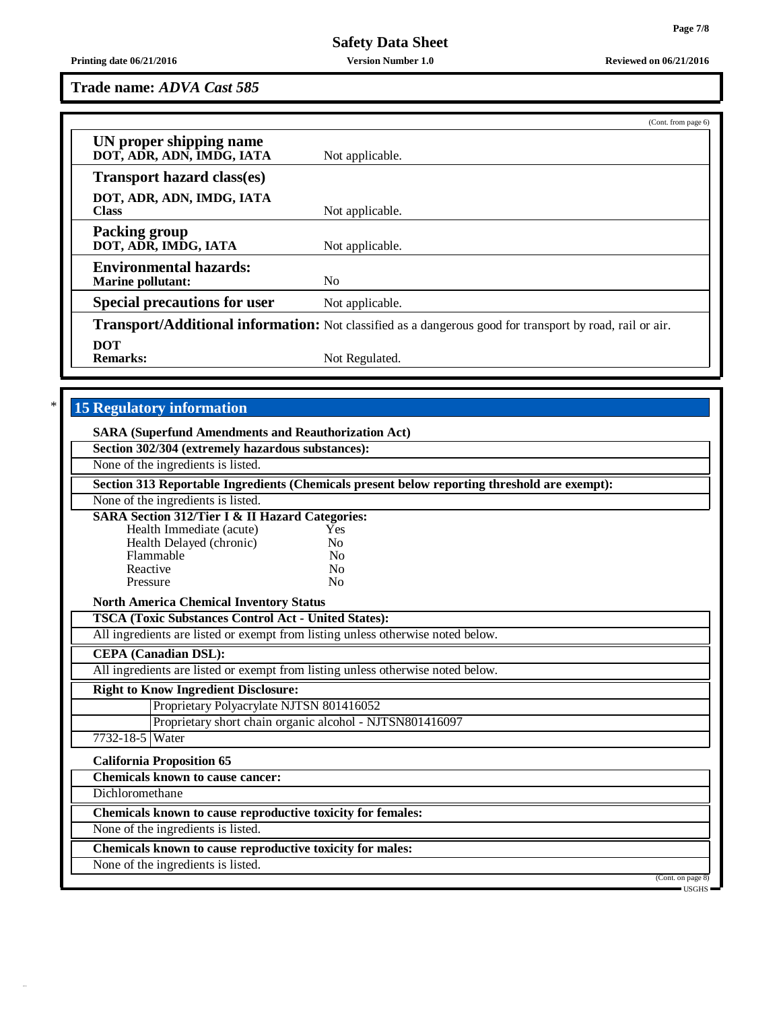#### **Printing date 06/21/2016 Version Number 1.0 Reviewed on 06/21/2016**

**Trade name:** *ADVA Cast 585*

|                                                           | (Cont. from page 6)                                                                                             |
|-----------------------------------------------------------|-----------------------------------------------------------------------------------------------------------------|
| UN proper shipping name<br>DOT, ADR, ADN, IMDG, IATA      | Not applicable.                                                                                                 |
| <b>Transport hazard class(es)</b>                         |                                                                                                                 |
| DOT, ADR, ADN, IMDG, IATA<br><b>Class</b>                 | Not applicable.                                                                                                 |
| <b>Packing group</b><br>DOT, ADR, IMDG, IATA              | Not applicable.                                                                                                 |
| <b>Environmental hazards:</b><br><b>Marine pollutant:</b> | N <sub>0</sub>                                                                                                  |
| <b>Special precautions for user</b>                       | Not applicable.                                                                                                 |
|                                                           | <b>Transport/Additional information:</b> Not classified as a dangerous good for transport by road, rail or air. |
| DOT<br><b>Remarks:</b>                                    | Not Regulated.                                                                                                  |

# \* **15 Regulatory information**

| <b>SARA (Superfund Amendments and Reauthorization Act)</b>  |                                                                                              |
|-------------------------------------------------------------|----------------------------------------------------------------------------------------------|
| Section 302/304 (extremely hazardous substances):           |                                                                                              |
| None of the ingredients is listed.                          |                                                                                              |
|                                                             | Section 313 Reportable Ingredients (Chemicals present below reporting threshold are exempt): |
| None of the ingredients is listed.                          |                                                                                              |
| <b>SARA Section 312/Tier I &amp; II Hazard Categories:</b>  |                                                                                              |
| Health Immediate (acute)                                    | Yes                                                                                          |
| Health Delayed (chronic)                                    | No                                                                                           |
| Flammable                                                   | N <sub>0</sub>                                                                               |
| Reactive                                                    | N <sub>0</sub>                                                                               |
| Pressure                                                    | N <sub>0</sub>                                                                               |
| <b>North America Chemical Inventory Status</b>              |                                                                                              |
| <b>TSCA (Toxic Substances Control Act - United States):</b> |                                                                                              |
|                                                             | All ingredients are listed or exempt from listing unless otherwise noted below.              |
| <b>CEPA</b> (Canadian DSL):                                 |                                                                                              |
|                                                             | All ingredients are listed or exempt from listing unless otherwise noted below.              |
| <b>Right to Know Ingredient Disclosure:</b>                 |                                                                                              |
| Proprietary Polyacrylate NJTSN 801416052                    |                                                                                              |
|                                                             | Proprietary short chain organic alcohol - NJTSN801416097                                     |
| 7732-18-5 Water                                             |                                                                                              |
| <b>California Proposition 65</b>                            |                                                                                              |
| <b>Chemicals known to cause cancer:</b>                     |                                                                                              |
| Dichloromethane                                             |                                                                                              |
| Chemicals known to cause reproductive toxicity for females: |                                                                                              |
| None of the ingredients is listed.                          |                                                                                              |
| Chemicals known to cause reproductive toxicity for males:   |                                                                                              |
| None of the ingredients is listed.                          |                                                                                              |
|                                                             | (Cont. on page 8)<br>$\equiv$ USGHS $\equiv$                                                 |